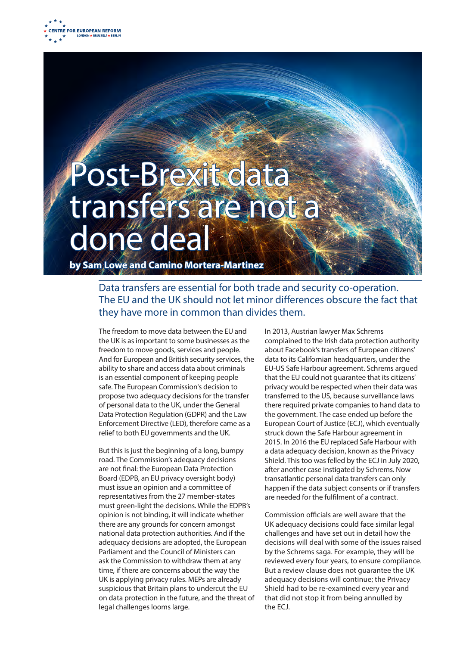

## Post-Brexit data transfers are not a done deal

**by Sam Lowe and Camino Mortera-Martinez**

Data transfers are essential for both trade and security co-operation. The EU and the UK should not let minor differences obscure the fact that they have more in common than divides them.

The freedom to move data between the EU and the UK is as important to some businesses as the freedom to move goods, services and people. And for European and British security services, the ability to share and access data about criminals is an essential component of keeping people safe. The European Commission's decision to propose two adequacy decisions for the transfer of personal data to the UK, under the General Data Protection Regulation (GDPR) and the Law Enforcement Directive (LED), therefore came as a relief to both EU governments and the UK.

But this is just the beginning of a long, bumpy road. The Commission's adequacy decisions are not final: the European Data Protection Board (EDPB, an EU privacy oversight body) must issue an opinion and a committee of representatives from the 27 member-states must green-light the decisions. While the EDPB's opinion is not binding, it will indicate whether there are any grounds for concern amongst national data protection authorities. And if the adequacy decisions are adopted, the European Parliament and the Council of Ministers can ask the Commission to withdraw them at any time, if there are concerns about the way the UK is applying privacy rules. MEPs are already suspicious that Britain plans to undercut the EU on data protection in the future, and the threat of legal challenges looms large.

In 2013, Austrian lawyer Max Schrems complained to the Irish data protection authority about Facebook's transfers of European citizens' data to its Californian headquarters, under the EU-US Safe Harbour agreement. Schrems argued that the EU could not guarantee that its citizens' privacy would be respected when their data was transferred to the US, because surveillance laws there required private companies to hand data to the government. The case ended up before the European Court of Justice (ECJ), which eventually struck down the Safe Harbour agreement in 2015. In 2016 the EU replaced Safe Harbour with a data adequacy decision, known as the Privacy Shield. This too was felled by the ECJ in July 2020, after another case instigated by Schrems. Now transatlantic personal data transfers can only happen if the data subject consents or if transfers are needed for the fulfilment of a contract.

Commission officials are well aware that the UK adequacy decisions could face similar legal challenges and have set out in detail how the decisions will deal with some of the issues raised by the Schrems saga. For example, they will be reviewed every four years, to ensure compliance. But a review clause does not guarantee the UK adequacy decisions will continue; the Privacy Shield had to be re-examined every year and that did not stop it from being annulled by the ECJ.